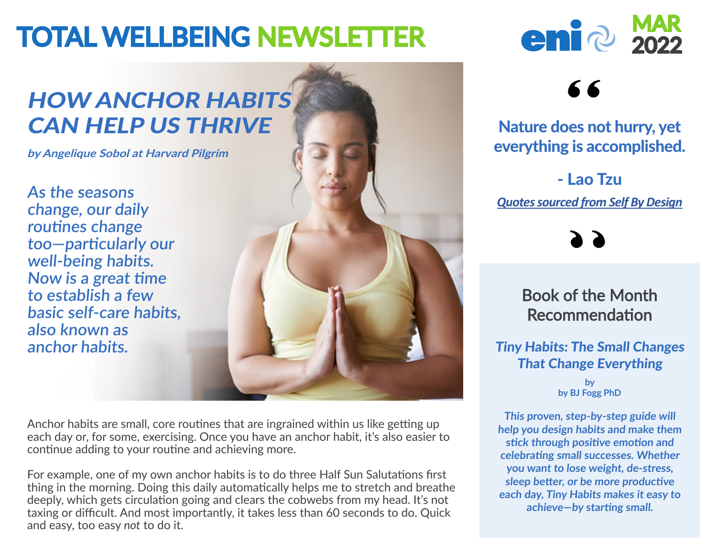# **TOTAL WELLBEING NEWSLETTER**

# HOW ANCHOR HABITS CAN HELP US THRIVE

**by Angelique Sobol at Harvard Pilgrim**

**As the seasons change, our daily routines change too—particularly our well-being habits. Now is a great time to establish a few basic self-care habits, also known as anchor habits.**



Anchor habits are small, core routines that are ingrained within us like getting up each day or, for some, exercising. Once you have an anchor habit, it's also easier to continue adding to your routine and achieving more.

For example, one of my own anchor habits is to do three Half Sun Salutations first thing in the morning. Doing this daily automatically helps me to stretch and breathe deeply, which gets circulation going and clears the cobwebs from my head. It's not taxing or difficult. And most importantly, it takes less than 60 seconds to do. Quick and easy, too easy *not* to do it.



# 66

### Nature does not hurry, yet everything is accomplished.

- Lao Tzu *Quotes sourced from Self By Design*

Book of the Month Recommendation

#### Tiny Habits: The Small Changes That Change Everything

**by by BJ Fogg PhD**

**This proven, step-by-step guide will help you design habits and make them stick through positive emotion and celebrating small successes. Whether you want to lose weight, de-stress, sleep better, or be more productive each day, Tiny Habits makes it easy to achieve—by starting small.**